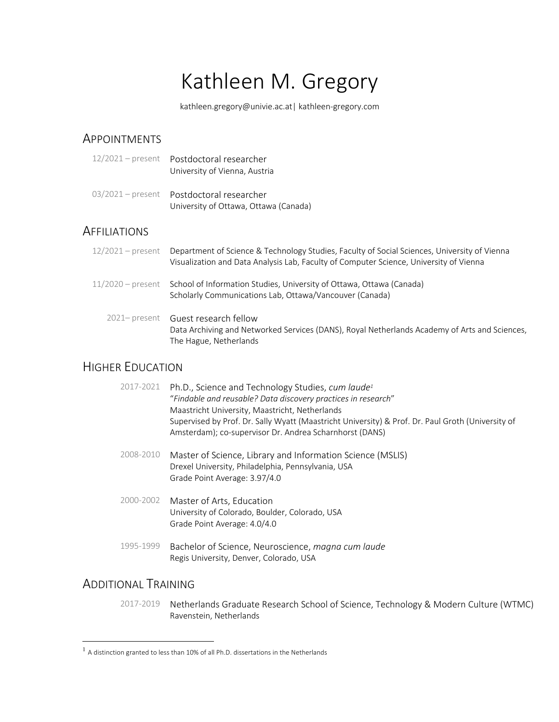# Kathleen M. Gregory

kathleen.gregory@univie.ac.at| kathleen-gregory.com

# **APPOINTMENTS**

| 12/2021 - present Postdoctoral researcher |
|-------------------------------------------|
| University of Vienna, Austria             |

03/2021 – present Postdoctoral researcher University of Ottawa, Ottawa (Canada)

# **AFFILIATIONS**

| $12/2021$ – present | Department of Science & Technology Studies, Faculty of Social Sciences, University of Vienna<br>Visualization and Data Analysis Lab, Faculty of Computer Science, University of Vienna |
|---------------------|----------------------------------------------------------------------------------------------------------------------------------------------------------------------------------------|
| $11/2020$ – present | School of Information Studies, University of Ottawa, Ottawa (Canada)<br>Scholarly Communications Lab, Ottawa/Vancouver (Canada)                                                        |
|                     | 2021- present Guest research fellow<br>Data Archiving and Networked Services (DANS), Royal Netherlands Academy of Arts and Sciences,<br>The Hague, Netherlands                         |

# HIGHER EDUCATION

| 2017-2021 | Ph.D., Science and Technology Studies, cum laude <sup>1</sup><br>"Findable and reusable? Data discovery practices in research"<br>Maastricht University, Maastricht, Netherlands<br>Supervised by Prof. Dr. Sally Wyatt (Maastricht University) & Prof. Dr. Paul Groth (University of<br>Amsterdam); co-supervisor Dr. Andrea Scharnhorst (DANS) |
|-----------|--------------------------------------------------------------------------------------------------------------------------------------------------------------------------------------------------------------------------------------------------------------------------------------------------------------------------------------------------|
| 2008-2010 | Master of Science, Library and Information Science (MSLIS)<br>Drexel University, Philadelphia, Pennsylvania, USA<br>Grade Point Average: 3.97/4.0                                                                                                                                                                                                |
| 2000-2002 | Master of Arts, Education<br>University of Colorado, Boulder, Colorado, USA<br>Grade Point Average: 4.0/4.0                                                                                                                                                                                                                                      |
| 1995-1999 | Bachelor of Science, Neuroscience, magna cum laude<br>Regis University, Denver, Colorado, USA                                                                                                                                                                                                                                                    |

# ADDITIONAL TRAINING

2017-2019 Netherlands Graduate Research School of Science, Technology & Modern Culture (WTMC) Ravenstein, Netherlands

 $<sup>1</sup>$  A distinction granted to less than 10% of all Ph.D. dissertations in the Netherlands</sup>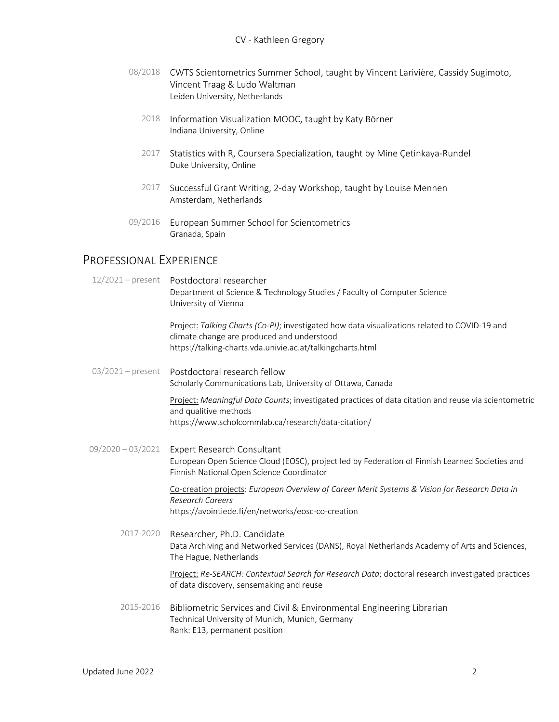- 08/2018 CWTS Scientometrics Summer School, taught by Vincent Larivière, Cassidy Sugimoto, Vincent Traag & Ludo Waltman Leiden University, Netherlands
	- 2018 Information Visualization MOOC, taught by Katy Börner Indiana University, Online
	- 2017 Statistics with R, Coursera Specialization, taught by Mine Çetinkaya-Rundel Duke University, Online
	- 2017 Successful Grant Writing, 2-day Workshop, taught by Louise Mennen Amsterdam, Netherlands
- 09/2016 European Summer School for Scientometrics Granada, Spain

# PROFESSIONAL EXPERIENCE

|                     | 12/2021 - present Postdoctoral researcher<br>Department of Science & Technology Studies / Faculty of Computer Science<br>University of Vienna                                                             |
|---------------------|-----------------------------------------------------------------------------------------------------------------------------------------------------------------------------------------------------------|
|                     | Project: Talking Charts (Co-PI); investigated how data visualizations related to COVID-19 and<br>climate change are produced and understood<br>https://talking-charts.vda.univie.ac.at/talkingcharts.html |
|                     | 03/2021 - present    Postdoctoral research fellow<br>Scholarly Communications Lab, University of Ottawa, Canada                                                                                           |
|                     | Project: Meaningful Data Counts; investigated practices of data citation and reuse via scientometric<br>and qualitive methods<br>https://www.scholcommlab.ca/research/data-citation/                      |
| $09/2020 - 03/2021$ | Expert Research Consultant<br>European Open Science Cloud (EOSC), project led by Federation of Finnish Learned Societies and<br>Finnish National Open Science Coordinator                                 |
|                     | Co-creation projects: European Overview of Career Merit Systems & Vision for Research Data in<br><b>Research Careers</b><br>https://avointiede.fi/en/networks/eosc-co-creation                            |
| 2017-2020           | Researcher, Ph.D. Candidate<br>Data Archiving and Networked Services (DANS), Royal Netherlands Academy of Arts and Sciences,<br>The Hague, Netherlands                                                    |
|                     | Project: Re-SEARCH: Contextual Search for Research Data; doctoral research investigated practices<br>of data discovery, sensemaking and reuse                                                             |
| 2015-2016           | Bibliometric Services and Civil & Environmental Engineering Librarian<br>Technical University of Munich, Munich, Germany<br>Rank: E13, permanent position                                                 |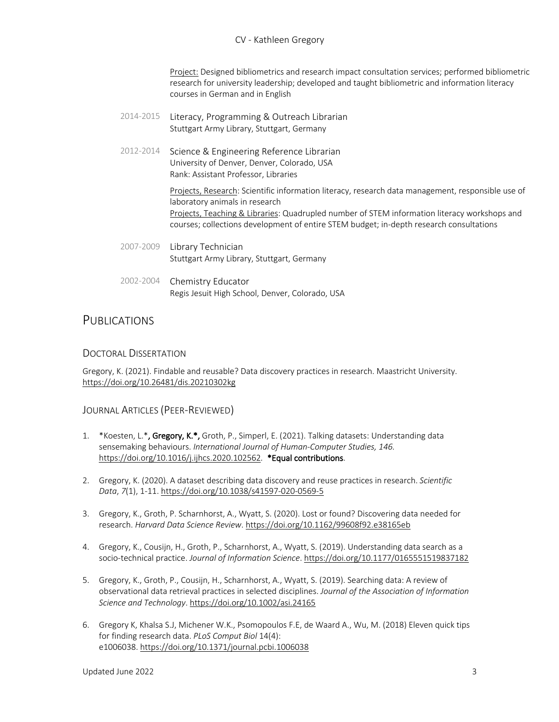Project: Designed bibliometrics and research impact consultation services; performed bibliometric research for university leadership; developed and taught bibliometric and information literacy courses in German and in English

- 2014-2015 Literacy, Programming & Outreach Librarian Stuttgart Army Library, Stuttgart, Germany
- 2012-2014 Science & Engineering Reference Librarian University of Denver, Denver, Colorado, USA Rank: Assistant Professor, Libraries

Projects, Research: Scientific information literacy, research data management, responsible use of laboratory animals in research Projects, Teaching & Libraries: Quadrupled number of STEM information literacy workshops and courses; collections development of entire STEM budget; in-depth research consultations

- 2007-2009 Library Technician Stuttgart Army Library, Stuttgart, Germany
- 2002-2004 Chemistry Educator Regis Jesuit High School, Denver, Colorado, USA

# **PUBLICATIONS**

# DOCTORAL DISSERTATION

Gregory, K. (2021). Findable and reusable? Data discovery practices in research. Maastricht University. https://doi.org/10.26481/dis.20210302kg

# JOURNAL ARTICLES (PEER-REVIEWED)

- 1. \*Koesten, L.\*, Gregory, K.\*, Groth, P., Simperl, E. (2021). Talking datasets: Understanding data sensemaking behaviours. *International Journal of Human-Computer Studies, 146.* https://doi.org/10.1016/j.ijhcs.2020.102562*.* \*Equal contributions.
- 2. Gregory, K. (2020). A dataset describing data discovery and reuse practices in research. *Scientific Data*, *7*(1), 1-11. https://doi.org/10.1038/s41597-020-0569-5
- 3. Gregory, K., Groth, P. Scharnhorst, A., Wyatt, S. (2020). Lost or found? Discovering data needed for research. *Harvard Data Science Review*. https://doi.org/10.1162/99608f92.e38165eb
- 4. Gregory, K., Cousijn, H., Groth, P., Scharnhorst, A., Wyatt, S. (2019). Understanding data search as a socio-technical practice. *Journal of Information Science*. https://doi.org/10.1177/0165551519837182
- 5. Gregory, K., Groth, P., Cousijn, H., Scharnhorst, A., Wyatt, S. (2019). Searching data: A review of observational data retrieval practices in selected disciplines. *Journal of the Association of Information Science and Technology*. https://doi.org/10.1002/asi.24165
- 6. Gregory K, Khalsa S.J, Michener W.K., Psomopoulos F.E, de Waard A., Wu, M. (2018) Eleven quick tips for finding research data. *PLoS Comput Biol* 14(4): e1006038. https://doi.org/10.1371/journal.pcbi.1006038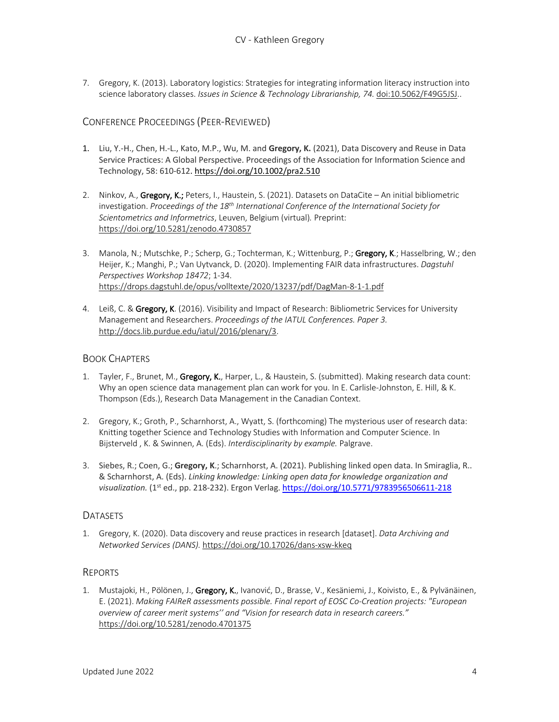7. Gregory, K. (2013). Laboratory logistics: Strategies for integrating information literacy instruction into science laboratory classes. *Issues in Science & Technology Librarianship*, 74. doi:10.5062/F49G5JSJ..

# CONFERENCE PROCEEDINGS (PEER-REVIEWED)

- 1. Liu, Y.-H., Chen, H.-L., Kato, M.P., Wu, M. and **Gregory, K.** (2021), Data Discovery and Reuse in Data Service Practices: A Global Perspective. Proceedings of the Association for Information Science and Technology, 58: 610-612. https://doi.org/10.1002/pra2.510
- 2. Ninkov, A., Gregory, K.; Peters, I., Haustein, S. (2021). Datasets on DataCite An initial bibliometric investigation. *Proceedings of the 18th International Conference of the International Society for Scientometrics and Informetrics*, Leuven, Belgium (virtual)*.* Preprint: https://doi.org/10.5281/zenodo.4730857
- 3. Manola, N.; Mutschke, P.; Scherp, G.; Tochterman, K.; Wittenburg, P.; Gregory, K.; Hasselbring, W.; den Heijer, K.; Manghi, P.; Van Uytvanck, D. (2020). Implementing FAIR data infrastructures. *Dagstuhl Perspectives Workshop 18472*; 1-34. https://drops.dagstuhl.de/opus/volltexte/2020/13237/pdf/DagMan-8-1-1.pdf
- 4. Leiß, C. & Gregory, K. (2016). Visibility and Impact of Research: Bibliometric Services for University Management and Researchers. *Proceedings of the IATUL Conferences. Paper 3.* http://docs.lib.purdue.edu/iatul/2016/plenary/3.

#### BOOK CHAPTERS

- 1. Tayler, F., Brunet, M., Gregory, K., Harper, L., & Haustein, S. (submitted). Making research data count: Why an open science data management plan can work for you. In E. Carlisle-Johnston, E. Hill, & K. Thompson (Eds.), Research Data Management in the Canadian Context.
- 2. Gregory, K.; Groth, P., Scharnhorst, A., Wyatt, S. (forthcoming) The mysterious user of research data: Knitting together Science and Technology Studies with Information and Computer Science. In Bijsterveld , K. & Swinnen, A. (Eds). *Interdisciplinarity by example.* Palgrave.
- 3. Siebes, R.; Coen, G.; **Gregory, K**.; Scharnhorst, A. (2021). Publishing linked open data. In Smiraglia, R.. & Scharnhorst, A. (Eds). *Linking knowledge: Linking open data for knowledge organization and visualization.* (1st ed., pp. 218-232). Ergon Verlag. https://doi.org/10.5771/9783956506611-218

#### DATASETS

1. Gregory, K. (2020). Data discovery and reuse practices in research [dataset]. *Data Archiving and Networked Services (DANS).* https://doi.org/10.17026/dans-xsw-kkeq

# REPORTS

1. Mustajoki, H., Pölönen, J., Gregory, K., Ivanović, D., Brasse, V., Kesäniemi, J., Koivisto, E., & Pylvänäinen, E. (2021). *Making FAIReR assessments possible. Final report of EOSC Co-Creation projects: "European overview of career merit systems'' and "Vision for research data in research careers."* https://doi.org/10.5281/zenodo.4701375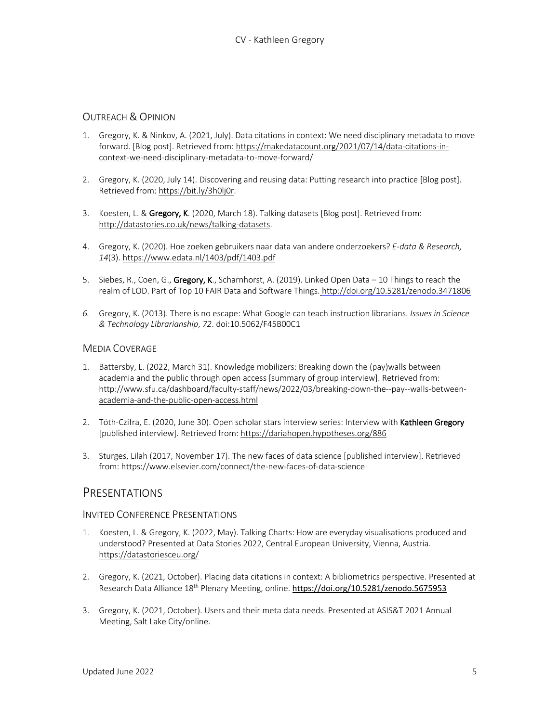# OUTREACH & OPINION

- 1. Gregory, K. & Ninkov, A. (2021, July). Data citations in context: We need disciplinary metadata to move forward. [Blog post]. Retrieved from: https://makedatacount.org/2021/07/14/data-citations-incontext-we-need-disciplinary-metadata-to-move-forward/
- 2. Gregory, K. (2020, July 14). Discovering and reusing data: Putting research into practice [Blog post]. Retrieved from: https://bit.ly/3h0lj0r.
- 3. Koesten, L. & Gregory, K. (2020, March 18). Talking datasets [Blog post]. Retrieved from: http://datastories.co.uk/news/talking-datasets.
- 4. Gregory, K. (2020). Hoe zoeken gebruikers naar data van andere onderzoekers? *E-data & Research, 14*(3). https://www.edata.nl/1403/pdf/1403.pdf
- 5. Siebes, R., Coen, G., Gregory, K., Scharnhorst, A. (2019). Linked Open Data 10 Things to reach the realm of LOD. Part of Top 10 FAIR Data and Software Things. http://doi.org/10.5281/zenodo.3471806
- *6.* Gregory, K. (2013). There is no escape: What Google can teach instruction librarians. *Issues in Science & Technology Librarianship*, *72*. doi:10.5062/F45B00C1

# MEDIA COVERAGE

- 1. Battersby, L. (2022, March 31). Knowledge mobilizers: Breaking down the (pay)walls between academia and the public through open access [summary of group interview]. Retrieved from: http://www.sfu.ca/dashboard/faculty-staff/news/2022/03/breaking-down-the--pay--walls-betweenacademia-and-the-public-open-access.html
- 2. Tóth-Czifra, E. (2020, June 30). Open scholar stars interview series: Interview with Kathleen Gregory [published interview]. Retrieved from: https://dariahopen.hypotheses.org/886
- 3. Sturges, Lilah (2017, November 17). The new faces of data science [published interview]. Retrieved from: https://www.elsevier.com/connect/the-new-faces-of-data-science

# **PRESENTATIONS**

#### INVITED CONFERENCE PRESENTATIONS

- 1. Koesten, L. & Gregory, K. (2022, May). Talking Charts: How are everyday visualisations produced and understood? Presented at Data Stories 2022, Central European University, Vienna, Austria. https://datastoriesceu.org/
- 2. Gregory, K. (2021, October). Placing data citations in context: A bibliometrics perspective. Presented at Research Data Alliance 18<sup>th</sup> Plenary Meeting, online. https://doi.org/10.5281/zenodo.5675953
- 3. Gregory, K. (2021, October). Users and their meta data needs. Presented at ASIS&T 2021 Annual Meeting, Salt Lake City/online.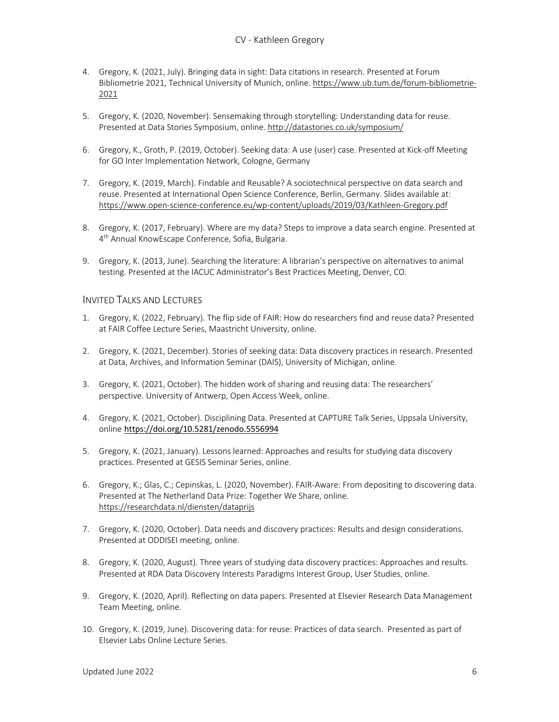- 4. Gregory, K. (2021, July). Bringing data in sight: Data citations in research. Presented at Forum Bibliometrie 2021, Technical University of Munich, online. https://www.ub.tum.de/forum-bibliometrie-2021
- 5. Gregory, K. (2020, November). Sensemaking through storytelling: Understanding data for reuse. Presented at Data Stories Symposium, online. http://datastories.co.uk/symposium/
- 6. Gregory, K., Groth, P. (2019, October). Seeking data: A use (user) case. Presented at Kick-off Meeting for GO Inter Implementation Network, Cologne, Germany
- 7. Gregory, K. (2019, March). Findable and Reusable? A sociotechnical perspective on data search and reuse. Presented at International Open Science Conference, Berlin, Germany. Slides available at: https://www.open-science-conference.eu/wp-content/uploads/2019/03/Kathleen-Gregory.pdf
- 8. Gregory, K. (2017, February). Where are my data? Steps to improve a data search engine. Presented at 4<sup>th</sup> Annual KnowEscape Conference, Sofia, Bulgaria.
- 9. Gregory, K. (2013, June). Searching the literature: A librarian's perspective on alternatives to animal testing. Presented at the IACUC Administrator's Best Practices Meeting, Denver, CO.

# INVITED TALKS AND LECTURES

- 1. Gregory, K. (2022, February). The flip side of FAIR: How do researchers find and reuse data? Presented at FAIR Coffee Lecture Series, Maastricht University, online.
- 2. Gregory, K. (2021, December). Stories of seeking data: Data discovery practices in research. Presented at Data, Archives, and Information Seminar (DAIS), University of Michigan, online.
- 3. Gregory, K. (2021, October). The hidden work of sharing and reusing data: The researchers' perspective. University of Antwerp, Open Access Week, online.
- 4. Gregory, K. (2021, October). Disciplining Data. Presented at CAPTURE Talk Series, Uppsala University, online https://doi.org/10.5281/zenodo.5556994
- 5. Gregory, K. (2021, January). Lessons learned: Approaches and results for studying data discovery practices. Presented at GESIS Seminar Series, online.
- 6. Gregory, K.; Glas, C.; Cepinskas, L. (2020, November). FAIR-Aware: From depositing to discovering data. Presented at The Netherland Data Prize: Together We Share, online. https://researchdata.nl/diensten/dataprijs
- 7. Gregory, K. (2020, October). Data needs and discovery practices: Results and design considerations. Presented at ODDISEI meeting, online.
- 8. Gregory, K. (2020, August). Three years of studying data discovery practices: Approaches and results. Presented at RDA Data Discovery Interests Paradigms Interest Group, User Studies, online.
- 9. Gregory, K. (2020, April). Reflecting on data papers. Presented at Elsevier Research Data Management Team Meeting, online.
- 10. Gregory, K. (2019, June). Discovering data: for reuse: Practices of data search. Presented as part of Elsevier Labs Online Lecture Series.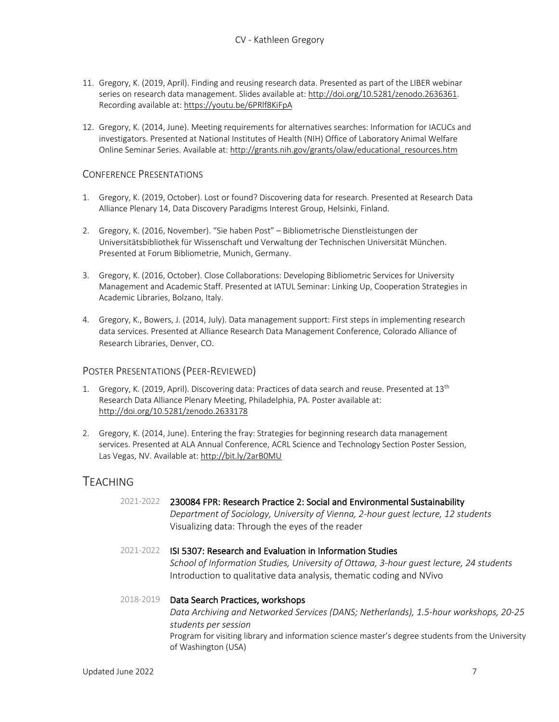- 11. Gregory, K. (2019, April). Finding and reusing research data. Presented as part of the LIBER webinar series on research data management. Slides available at: http://doi.org/10.5281/zenodo.2636361. Recording available at: https://youtu.be/6PRlf8KiFpA
- 12. Gregory, K. (2014, June). Meeting requirements for alternatives searches: Information for IACUCs and investigators. Presented at National Institutes of Health (NIH) Office of Laboratory Animal Welfare Online Seminar Series. Available at: http://grants.nih.gov/grants/olaw/educational\_resources.htm

#### CONFERENCE PRESENTATIONS

- 1. Gregory, K. (2019, October). Lost or found? Discovering data for research. Presented at Research Data Alliance Plenary 14, Data Discovery Paradigms Interest Group, Helsinki, Finland.
- 2. Gregory, K. (2016, November). "Sie haben Post" Bibliometrische Dienstleistungen der Universitätsbibliothek für Wissenschaft und Verwaltung der Technischen Universität München. Presented at Forum Bibliometrie, Munich, Germany.
- 3. Gregory, K. (2016, October). Close Collaborations: Developing Bibliometric Services for University Management and Academic Staff. Presented at IATUL Seminar: Linking Up, Cooperation Strategies in Academic Libraries, Bolzano, Italy.
- 4. Gregory, K., Bowers, J. (2014, July). Data management support: First steps in implementing research data services. Presented at Alliance Research Data Management Conference, Colorado Alliance of Research Libraries, Denver, CO.

# POSTER PRESENTATIONS (PEER-REVIEWED)

- 1. Gregory, K. (2019, April). Discovering data: Practices of data search and reuse. Presented at 13th Research Data Alliance Plenary Meeting, Philadelphia, PA. Poster available at: http://doi.org/10.5281/zenodo.2633178
- 2. Gregory, K. (2014, June). Entering the fray: Strategies for beginning research data management services. Presented at ALA Annual Conference, ACRL Science and Technology Section Poster Session, Las Vegas, NV. Available at: http://bit.ly/2arB0MU

# TEACHING

# 2021-2022 230084 FPR: Research Practice 2: Social and Environmental Sustainability

*Department of Sociology, University of Vienna, 2-hour guest lecture, 12 students* Visualizing data: Through the eyes of the reader

2021-2022 ISI 5307: Research and Evaluation in Information Studies *School of Information Studies, University of Ottawa, 3-hour guest lecture, 24 students* Introduction to qualitative data analysis, thematic coding and NVivo

# 2018-2019 Data Search Practices, workshops *Data Archiving and Networked Services (DANS; Netherlands), 1.5-hour workshops, 20-25 students per session* Program for visiting library and information science master's degree students from the University of Washington (USA)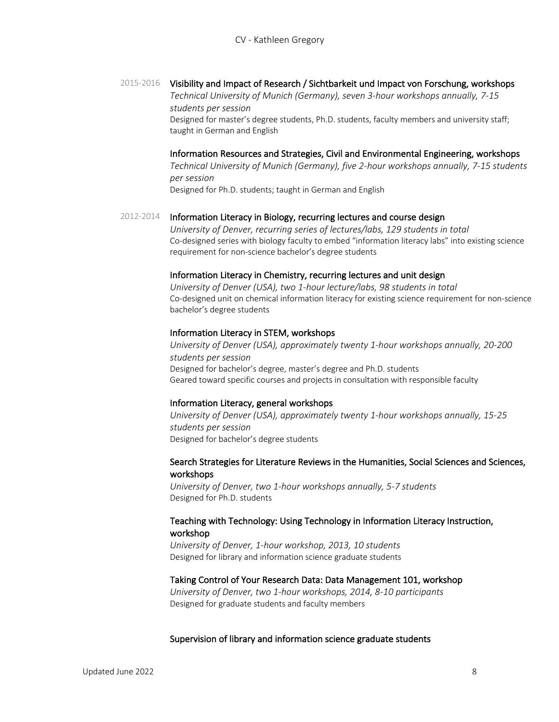#### 2015-2016 Visibility and Impact of Research / Sichtbarkeit und Impact von Forschung, workshops

*Technical University of Munich (Germany), seven 3-hour workshops annually, 7-15 students per session*

Designed for master's degree students, Ph.D. students, faculty members and university staff; taught in German and English

#### Information Resources and Strategies, Civil and Environmental Engineering, workshops

*Technical University of Munich (Germany), five 2-hour workshops annually, 7-15 students per session*

Designed for Ph.D. students; taught in German and English

#### 2012-2014 Information Literacy in Biology, recurring lectures and course design

*University of Denver, recurring series of lectures/labs, 129 students in total* Co-designed series with biology faculty to embed "information literacy labs" into existing science requirement for non-science bachelor's degree students

#### Information Literacy in Chemistry, recurring lectures and unit design

*University of Denver (USA), two 1-hour lecture/labs, 98 students in total* Co-designed unit on chemical information literacy for existing science requirement for non-science bachelor's degree students

#### Information Literacy in STEM, workshops

*University of Denver (USA), approximately twenty 1-hour workshops annually, 20-200 students per session* Designed for bachelor's degree, master's degree and Ph.D. students Geared toward specific courses and projects in consultation with responsible faculty

#### Information Literacy, general workshops

*University of Denver (USA), approximately twenty 1-hour workshops annually, 15-25 students per session* Designed for bachelor's degree students

#### Search Strategies for Literature Reviews in the Humanities, Social Sciences and Sciences, workshops

*University of Denver, two 1-hour workshops annually, 5-7 students* Designed for Ph.D. students

# Teaching with Technology: Using Technology in Information Literacy Instruction, workshop

*University of Denver, 1-hour workshop, 2013, 10 students* Designed for library and information science graduate students

#### Taking Control of Your Research Data: Data Management 101, workshop

*University of Denver, two 1-hour workshops, 2014, 8-10 participants* Designed for graduate students and faculty members

#### Supervision of library and information science graduate students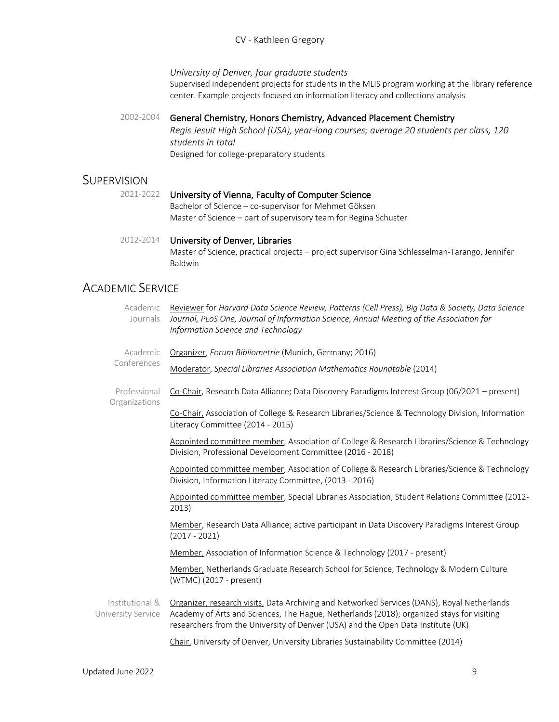#### CV - Kathleen Gregory

*University of Denver, four graduate students*

Supervised independent projects for students in the MLIS program working at the library reference center. Example projects focused on information literacy and collections analysis

#### 2002-2004 General Chemistry, Honors Chemistry, Advanced Placement Chemistry

*Regis Jesuit High School (USA), year-long courses; average 20 students per class, 120 students in total* Designed for college-preparatory students

# **SUPERVISION**

#### 2021-2022 University of Vienna, Faculty of Computer Science

Bachelor of Science – co-supervisor for Mehmet Göksen Master of Science – part of supervisory team for Regina Schuster

#### 2012-2014 University of Denver, Libraries Master of Science, practical projects – project supervisor Gina Schlesselman-Tarango, Jennifer Baldwin

# ACADEMIC SERVICE

| Academic<br>Journals                  | Reviewer for Harvard Data Science Review, Patterns (Cell Press), Big Data & Society, Data Science<br>Journal, PLoS One, Journal of Information Science, Annual Meeting of the Association for<br>Information Science and Technology                                          |
|---------------------------------------|------------------------------------------------------------------------------------------------------------------------------------------------------------------------------------------------------------------------------------------------------------------------------|
| Academic<br>Conferences               | Organizer, Forum Bibliometrie (Munich, Germany; 2016)                                                                                                                                                                                                                        |
|                                       | Moderator, Special Libraries Association Mathematics Roundtable (2014)                                                                                                                                                                                                       |
| Professional<br>Organizations         | Co-Chair, Research Data Alliance; Data Discovery Paradigms Interest Group (06/2021 - present)                                                                                                                                                                                |
|                                       | Co-Chair, Association of College & Research Libraries/Science & Technology Division, Information<br>Literacy Committee (2014 - 2015)                                                                                                                                         |
|                                       | Appointed committee member, Association of College & Research Libraries/Science & Technology<br>Division, Professional Development Committee (2016 - 2018)                                                                                                                   |
|                                       | Appointed committee member, Association of College & Research Libraries/Science & Technology<br>Division, Information Literacy Committee, (2013 - 2016)                                                                                                                      |
|                                       | Appointed committee member, Special Libraries Association, Student Relations Committee (2012-<br>2013)                                                                                                                                                                       |
|                                       | Member, Research Data Alliance; active participant in Data Discovery Paradigms Interest Group<br>$(2017 - 2021)$                                                                                                                                                             |
|                                       | Member, Association of Information Science & Technology (2017 - present)                                                                                                                                                                                                     |
|                                       | Member, Netherlands Graduate Research School for Science, Technology & Modern Culture<br>(WTMC) (2017 - present)                                                                                                                                                             |
| Institutional &<br>University Service | Organizer, research visits, Data Archiving and Networked Services (DANS), Royal Netherlands<br>Academy of Arts and Sciences, The Hague, Netherlands (2018); organized stays for visiting<br>researchers from the University of Denver (USA) and the Open Data Institute (UK) |
|                                       | Chair, University of Denver, University Libraries Sustainability Committee (2014)                                                                                                                                                                                            |